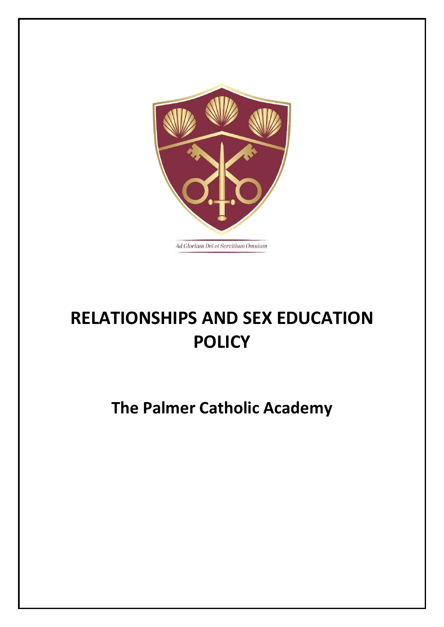

# **RELATIONSHIPS AND SEX EDUCATION POLICY**

## **The Palmer Catholic Academy**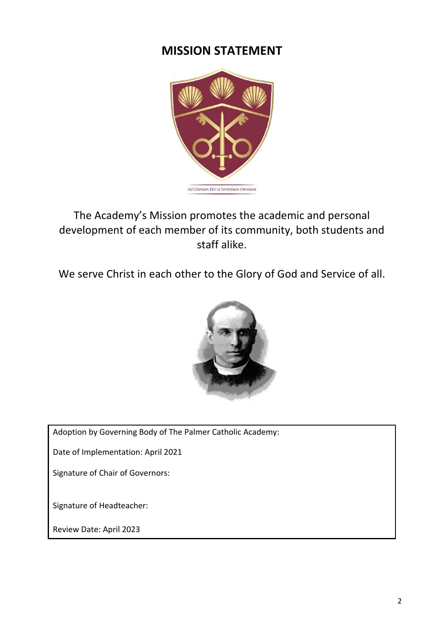## **MISSION STATEMENT**



The Academy's Mission promotes the academic and personal development of each member of its community, both students and staff alike.

We serve Christ in each other to the Glory of God and Service of all.



Adoption by Governing Body of The Palmer Catholic Academy:

Date of Implementation: April 2021

Signature of Chair of Governors:

Signature of Headteacher:

Review Date: April 2023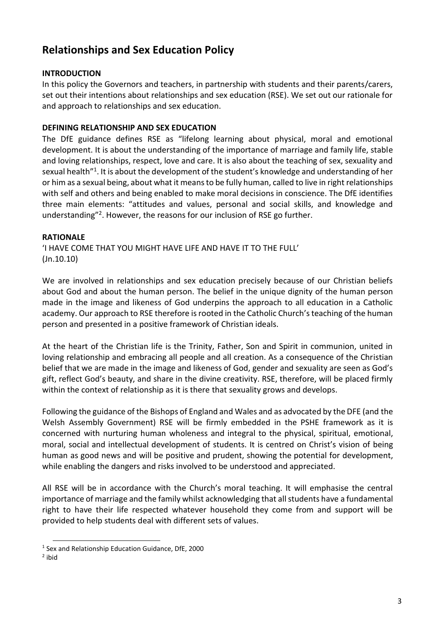### **Relationships and Sex Education Policy**

#### **INTRODUCTION**

In this policy the Governors and teachers, in partnership with students and their parents/carers, set out their intentions about relationships and sex education (RSE). We set out our rationale for and approach to relationships and sex education.

#### **DEFINING RELATIONSHIP AND SEX EDUCATION**

The DfE guidance defines RSE as "lifelong learning about physical, moral and emotional development. It is about the understanding of the importance of marriage and family life, stable and loving relationships, respect, love and care. It is also about the teaching of sex, sexuality and sexual health"<sup>1</sup> . It is about the development of the student's knowledge and understanding of her or him as a sexual being, about what it means to be fully human, called to live in right relationships with self and others and being enabled to make moral decisions in conscience. The DfE identifies three main elements: "attitudes and values, personal and social skills, and knowledge and understanding"<sup>2</sup> . However, the reasons for our inclusion of RSE go further.

#### **RATIONALE**

'I HAVE COME THAT YOU MIGHT HAVE LIFE AND HAVE IT TO THE FULL' (Jn.10.10)

We are involved in relationships and sex education precisely because of our Christian beliefs about God and about the human person. The belief in the unique dignity of the human person made in the image and likeness of God underpins the approach to all education in a Catholic academy. Our approach to RSE therefore is rooted in the Catholic Church's teaching of the human person and presented in a positive framework of Christian ideals.

At the heart of the Christian life is the Trinity, Father, Son and Spirit in communion, united in loving relationship and embracing all people and all creation. As a consequence of the Christian belief that we are made in the image and likeness of God, gender and sexuality are seen as God's gift, reflect God's beauty, and share in the divine creativity. RSE, therefore, will be placed firmly within the context of relationship as it is there that sexuality grows and develops.

Following the guidance of the Bishops of England and Wales and as advocated by the DFE (and the Welsh Assembly Government) RSE will be firmly embedded in the PSHE framework as it is concerned with nurturing human wholeness and integral to the physical, spiritual, emotional, moral, social and intellectual development of students. It is centred on Christ's vision of being human as good news and will be positive and prudent, showing the potential for development, while enabling the dangers and risks involved to be understood and appreciated.

All RSE will be in accordance with the Church's moral teaching. It will emphasise the central importance of marriage and the family whilst acknowledging that all students have a fundamental right to have their life respected whatever household they come from and support will be provided to help students deal with different sets of values.

<sup>&</sup>lt;sup>1</sup> Sex and Relationship Education Guidance, DfE, 2000

<sup>&</sup>lt;sup>2</sup> ibid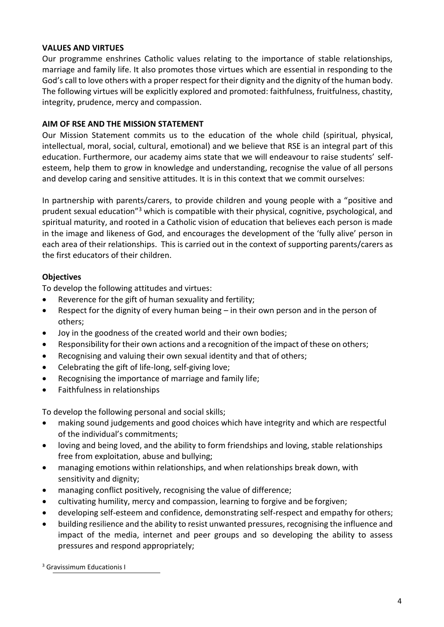#### **VALUES AND VIRTUES**

Our programme enshrines Catholic values relating to the importance of stable relationships, marriage and family life. It also promotes those virtues which are essential in responding to the God's call to love others with a proper respect for their dignity and the dignity of the human body. The following virtues will be explicitly explored and promoted: faithfulness, fruitfulness, chastity, integrity, prudence, mercy and compassion.

#### **AIM OF RSE AND THE MISSION STATEMENT**

Our Mission Statement commits us to the education of the whole child (spiritual, physical, intellectual, moral, social, cultural, emotional) and we believe that RSE is an integral part of this education. Furthermore, our academy aims state that we will endeavour to raise students' selfesteem, help them to grow in knowledge and understanding, recognise the value of all persons and develop caring and sensitive attitudes. It is in this context that we commit ourselves:

In partnership with parents/carers, to provide children and young people with a "positive and prudent sexual education"<sup>3</sup> which is compatible with their physical, cognitive, psychological, and spiritual maturity, and rooted in a Catholic vision of education that believes each person is made in the image and likeness of God, and encourages the development of the 'fully alive' person in each area of their relationships. This is carried out in the context of supporting parents/carers as the first educators of their children.

#### **Objectives**

To develop the following attitudes and virtues:

- Reverence for the gift of human sexuality and fertility;
- Respect for the dignity of every human being in their own person and in the person of others;
- Joy in the goodness of the created world and their own bodies;
- Responsibility for their own actions and a recognition of the impact of these on others;
- Recognising and valuing their own sexual identity and that of others;
- Celebrating the gift of life-long, self-giving love;
- Recognising the importance of marriage and family life;
- Faithfulness in relationships

To develop the following personal and social skills;

- making sound judgements and good choices which have integrity and which are respectful of the individual's commitments;
- loving and being loved, and the ability to form friendships and loving, stable relationships free from exploitation, abuse and bullying;
- managing emotions within relationships, and when relationships break down, with sensitivity and dignity;
- managing conflict positively, recognising the value of difference;
- cultivating humility, mercy and compassion, learning to forgive and be forgiven;
- developing self-esteem and confidence, demonstrating self-respect and empathy for others;
- building resilience and the ability to resist unwanted pressures, recognising the influence and impact of the media, internet and peer groups and so developing the ability to assess pressures and respond appropriately;

<sup>3</sup> Gravissimum Educationis I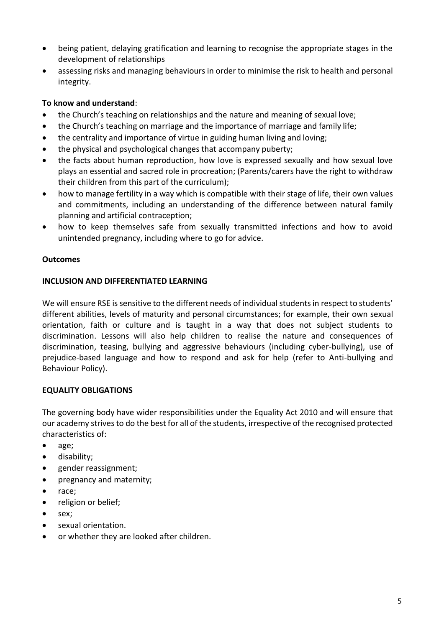- being patient, delaying gratification and learning to recognise the appropriate stages in the development of relationships
- assessing risks and managing behaviours in order to minimise the risk to health and personal integrity.

#### **To know and understand**:

- the Church's teaching on relationships and the nature and meaning of sexual love;
- the Church's teaching on marriage and the importance of marriage and family life;
- the centrality and importance of virtue in guiding human living and loving;
- the physical and psychological changes that accompany puberty;
- the facts about human reproduction, how love is expressed sexually and how sexual love plays an essential and sacred role in procreation; (Parents/carers have the right to withdraw their children from this part of the curriculum);
- how to manage fertility in a way which is compatible with their stage of life, their own values and commitments, including an understanding of the difference between natural family planning and artificial contraception;
- how to keep themselves safe from sexually transmitted infections and how to avoid unintended pregnancy, including where to go for advice.

#### **Outcomes**

#### **INCLUSION AND DIFFERENTIATED LEARNING**

We will ensure RSE is sensitive to the different needs of individual students in respect to students' different abilities, levels of maturity and personal circumstances; for example, their own sexual orientation, faith or culture and is taught in a way that does not subject students to discrimination. Lessons will also help children to realise the nature and consequences of discrimination, teasing, bullying and aggressive behaviours (including cyber-bullying), use of prejudice-based language and how to respond and ask for help (refer to Anti-bullying and Behaviour Policy).

#### **EQUALITY OBLIGATIONS**

The governing body have wider responsibilities under the Equality Act 2010 and will ensure that our academy strives to do the best for all of the students, irrespective of the recognised protected characteristics of:

- age;
- disability;
- gender reassignment;
- pregnancy and maternity;
- race;
- religion or belief;
- sex:
- sexual orientation.
- or whether they are looked after children.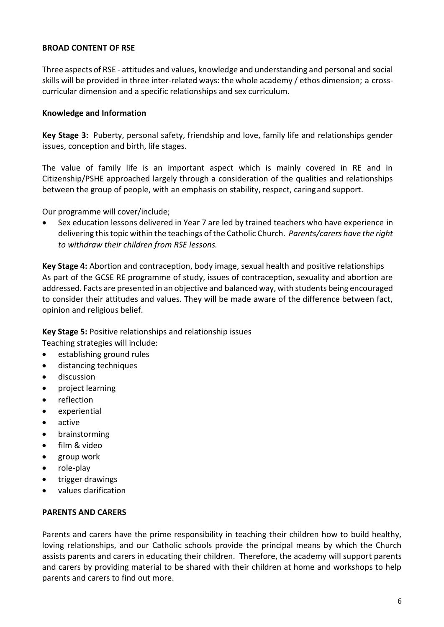#### **BROAD CONTENT OF RSE**

Three aspects of RSE - attitudes and values, knowledge and understanding and personal and social skills will be provided in three inter-related ways: the whole academy / ethos dimension; a crosscurricular dimension and a specific relationships and sex curriculum.

#### **Knowledge and Information**

**Key Stage 3:** Puberty, personal safety, friendship and love, family life and relationships gender issues, conception and birth, life stages.

The value of family life is an important aspect which is mainly covered in RE and in Citizenship/PSHE approached largely through a consideration of the qualities and relationships between the group of people, with an emphasis on stability, respect, caringand support.

Our programme will cover/include;

Sex education lessons delivered in Year 7 are led by trained teachers who have experience in delivering thistopic within the teachings ofthe Catholic Church. *Parents/carers have the right to withdraw their children from RSE lessons.*

**Key Stage 4:** Abortion and contraception, body image, sexual health and positive relationships As part of the GCSE RE programme of study, issues of contraception, sexuality and abortion are addressed. Facts are presented in an objective and balanced way, with students being encouraged to consider their attitudes and values. They will be made aware of the difference between fact, opinion and religious belief.

**Key Stage 5:** Positive relationships and relationship issues

Teaching strategies will include:

- establishing ground rules
- distancing techniques
- discussion
- project learning
- reflection
- experiential
- active
- brainstorming
- film & video
- group work
- role-play
- trigger drawings
- values clarification

#### **PARENTS AND CARERS**

Parents and carers have the prime responsibility in teaching their children how to build healthy, loving relationships, and our Catholic schools provide the principal means by which the Church assists parents and carers in educating their children. Therefore, the academy will support parents and carers by providing material to be shared with their children at home and workshops to help parents and carers to find out more.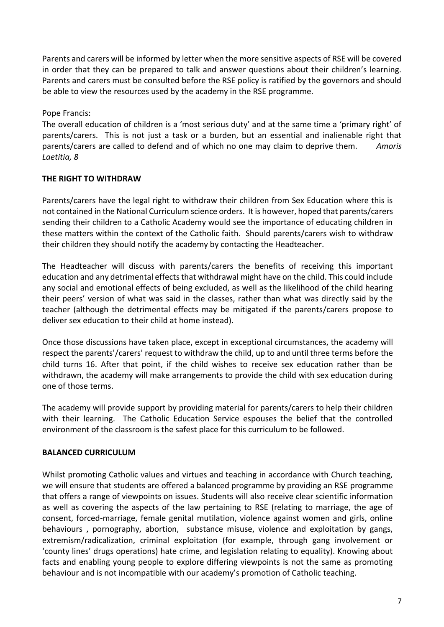Parents and carers will be informed by letter when the more sensitive aspects of RSE will be covered in order that they can be prepared to talk and answer questions about their children's learning. Parents and carers must be consulted before the RSE policy is ratified by the governors and should be able to view the resources used by the academy in the RSE programme.

Pope Francis:

The overall education of children is a 'most serious duty' and at the same time a 'primary right' of parents/carers. This is not just a task or a burden, but an essential and inalienable right that parents/carers are called to defend and of which no one may claim to deprive them. *Amoris Laetitia, 8*

#### **THE RIGHT TO WITHDRAW**

Parents/carers have the legal right to withdraw their children from Sex Education where this is not contained in the National Curriculum science orders. It is however, hoped that parents/carers sending their children to a Catholic Academy would see the importance of educating children in these matters within the context of the Catholic faith. Should parents/carers wish to withdraw their children they should notify the academy by contacting the Headteacher.

The Headteacher will discuss with parents/carers the benefits of receiving this important education and any detrimental effects that withdrawal might have on the child. This could include any social and emotional effects of being excluded, as well as the likelihood of the child hearing their peers' version of what was said in the classes, rather than what was directly said by the teacher (although the detrimental effects may be mitigated if the parents/carers propose to deliver sex education to their child at home instead).

Once those discussions have taken place, except in exceptional circumstances, the academy will respect the parents'/carers' request to withdraw the child, up to and until three terms before the child turns 16. After that point, if the child wishes to receive sex education rather than be withdrawn, the academy will make arrangements to provide the child with sex education during one of those terms.

The academy will provide support by providing material for parents/carers to help their children with their learning. The Catholic Education Service espouses the belief that the controlled environment of the classroom is the safest place for this curriculum to be followed.

#### **BALANCED CURRICULUM**

Whilst promoting Catholic values and virtues and teaching in accordance with Church teaching, we will ensure that students are offered a balanced programme by providing an RSE programme that offers a range of viewpoints on issues. Students will also receive clear scientific information as well as covering the aspects of the law pertaining to RSE (relating to marriage, the age of consent, forced-marriage, female genital mutilation, violence against women and girls, online behaviours , pornography, abortion, substance misuse, violence and exploitation by gangs, extremism/radicalization, criminal exploitation (for example, through gang involvement or 'county lines' drugs operations) hate crime, and legislation relating to equality). Knowing about facts and enabling young people to explore differing viewpoints is not the same as promoting behaviour and is not incompatible with our academy's promotion of Catholic teaching.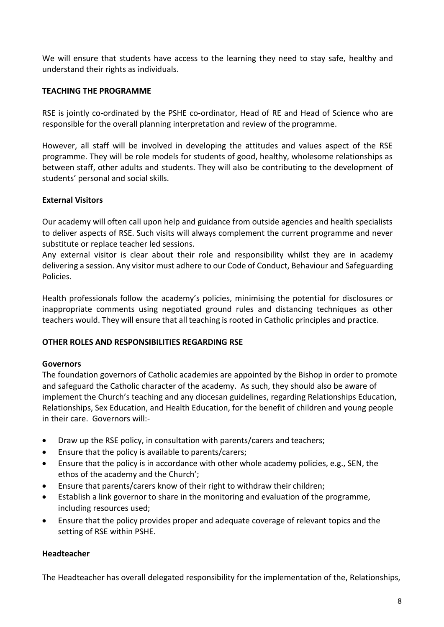We will ensure that students have access to the learning they need to stay safe, healthy and understand their rights as individuals.

#### **TEACHING THE PROGRAMME**

RSE is jointly co-ordinated by the PSHE co-ordinator, Head of RE and Head of Science who are responsible for the overall planning interpretation and review of the programme.

However, all staff will be involved in developing the attitudes and values aspect of the RSE programme. They will be role models for students of good, healthy, wholesome relationships as between staff, other adults and students. They will also be contributing to the development of students' personal and social skills.

#### **External Visitors**

Our academy will often call upon help and guidance from outside agencies and health specialists to deliver aspects of RSE. Such visits will always complement the current programme and never substitute or replace teacher led sessions.

Any external visitor is clear about their role and responsibility whilst they are in academy delivering a session. Any visitor must adhere to our Code of Conduct, Behaviour and Safeguarding Policies.

Health professionals follow the academy's policies, minimising the potential for disclosures or inappropriate comments using negotiated ground rules and distancing techniques as other teachers would. They will ensure that all teaching is rooted in Catholic principles and practice.

#### **OTHER ROLES AND RESPONSIBILITIES REGARDING RSE**

#### **Governors**

The foundation governors of Catholic academies are appointed by the Bishop in order to promote and safeguard the Catholic character of the academy. As such, they should also be aware of implement the Church's teaching and any diocesan guidelines, regarding Relationships Education, Relationships, Sex Education, and Health Education, for the benefit of children and young people in their care. Governors will:-

- Draw up the RSE policy, in consultation with parents/carers and teachers;
- Ensure that the policy is available to parents/carers;
- Ensure that the policy is in accordance with other whole academy policies, e.g., SEN, the ethos of the academy and the Church';
- Ensure that parents/carers know of their right to withdraw their children;
- Establish a link governor to share in the monitoring and evaluation of the programme, including resources used;
- Ensure that the policy provides proper and adequate coverage of relevant topics and the setting of RSE within PSHE.

#### **Headteacher**

The Headteacher has overall delegated responsibility for the implementation of the, Relationships,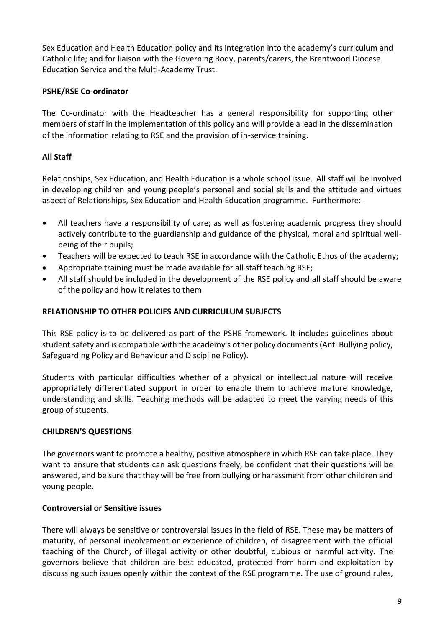Sex Education and Health Education policy and its integration into the academy's curriculum and Catholic life; and for liaison with the Governing Body, parents/carers, the Brentwood Diocese Education Service and the Multi-Academy Trust.

#### **PSHE/RSE Co-ordinator**

The Co-ordinator with the Headteacher has a general responsibility for supporting other members of staff in the implementation of this policy and will provide a lead in the dissemination of the information relating to RSE and the provision of in-service training.

#### **All Staff**

Relationships, Sex Education, and Health Education is a whole school issue. All staff will be involved in developing children and young people's personal and social skills and the attitude and virtues aspect of Relationships, Sex Education and Health Education programme. Furthermore:-

- All teachers have a responsibility of care; as well as fostering academic progress they should actively contribute to the guardianship and guidance of the physical, moral and spiritual wellbeing of their pupils;
- Teachers will be expected to teach RSE in accordance with the Catholic Ethos of the academy;
- Appropriate training must be made available for all staff teaching RSE;
- All staff should be included in the development of the RSE policy and all staff should be aware of the policy and how it relates to them

#### **RELATIONSHIP TO OTHER POLICIES AND CURRICULUM SUBJECTS**

This RSE policy is to be delivered as part of the PSHE framework. It includes guidelines about student safety and is compatible with the academy's other policy documents (Anti Bullying policy, Safeguarding Policy and Behaviour and Discipline Policy).

Students with particular difficulties whether of a physical or intellectual nature will receive appropriately differentiated support in order to enable them to achieve mature knowledge, understanding and skills. Teaching methods will be adapted to meet the varying needs of this group of students.

#### **CHILDREN'S QUESTIONS**

The governors want to promote a healthy, positive atmosphere in which RSE can take place. They want to ensure that students can ask questions freely, be confident that their questions will be answered, and be sure that they will be free from bullying or harassment from other children and young people.

#### **Controversial or Sensitive issues**

There will always be sensitive or controversial issues in the field of RSE. These may be matters of maturity, of personal involvement or experience of children, of disagreement with the official teaching of the Church, of illegal activity or other doubtful, dubious or harmful activity. The governors believe that children are best educated, protected from harm and exploitation by discussing such issues openly within the context of the RSE programme. The use of ground rules,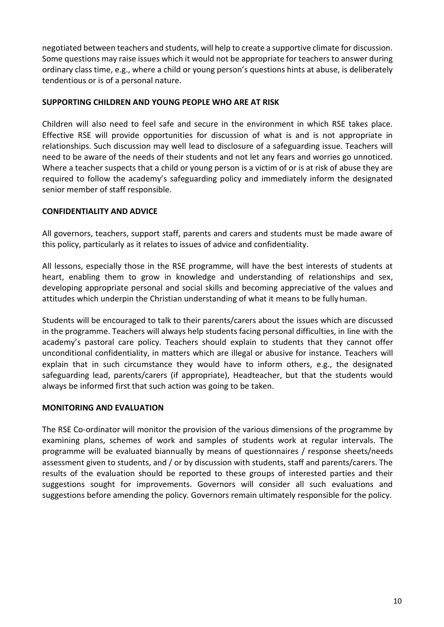negotiated between teachers and students, will help to create a supportive climate for discussion. Some questions may raise issues which it would not be appropriate for teachers to answer during ordinary class time, e.g., where a child or young person's questions hints at abuse, is deliberately tendentious or is of a personal nature.

#### **SUPPORTING CHILDREN AND YOUNG PEOPLE WHO ARE AT RISK**

Children will also need to feel safe and secure in the environment in which RSE takes place. Effective RSE will provide opportunities for discussion of what is and is not appropriate in relationships. Such discussion may well lead to disclosure of a safeguarding issue. Teachers will need to be aware of the needs of their students and not let any fears and worries go unnoticed. Where a teacher suspects that a child or young person is a victim of or is at risk of abuse they are required to follow the academy's safeguarding policy and immediately inform the designated senior member of staff responsible.

#### **CONFIDENTIALITY AND ADVICE**

All governors, teachers, support staff, parents and carers and students must be made aware of this policy, particularly as it relates to issues of advice and confidentiality.

All lessons, especially those in the RSE programme, will have the best interests of students at heart, enabling them to grow in knowledge and understanding of relationships and sex, developing appropriate personal and social skills and becoming appreciative of the values and attitudes which underpin the Christian understanding of what it means to be fullyhuman.

Students will be encouraged to talk to their parents/carers about the issues which are discussed in the programme. Teachers will always help students facing personal difficulties, in line with the academy's pastoral care policy. Teachers should explain to students that they cannot offer unconditional confidentiality, in matters which are illegal or abusive for instance. Teachers will explain that in such circumstance they would have to inform others, e.g., the designated safeguarding lead, parents/carers (if appropriate), Headteacher, but that the students would always be informed first that such action was going to be taken.

#### **MONITORING AND EVALUATION**

The RSE Co-ordinator will monitor the provision of the various dimensions of the programme by examining plans, schemes of work and samples of students work at regular intervals. The programme will be evaluated biannually by means of questionnaires / response sheets/needs assessment given to students, and / or by discussion with students, staff and parents/carers. The results of the evaluation should be reported to these groups of interested parties and their suggestions sought for improvements. Governors will consider all such evaluations and suggestions before amending the policy. Governors remain ultimately responsible for the policy.